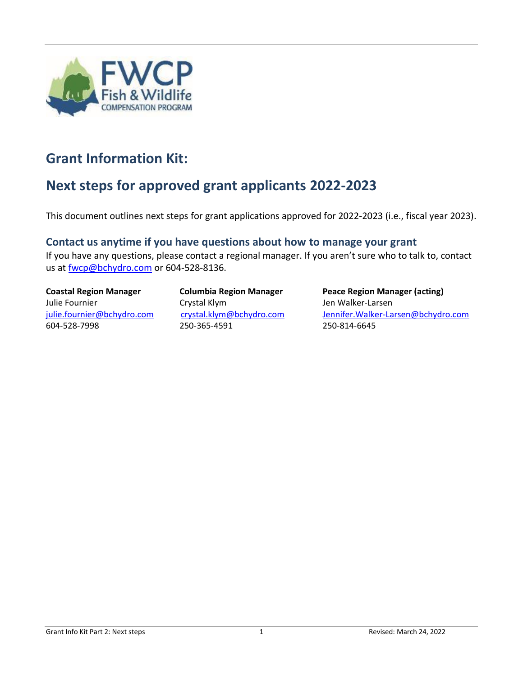

#### <span id="page-0-0"></span>**Grant Information Kit:**

## <span id="page-0-1"></span>**Next steps for approved grant applicants 2022-2023**

This document outlines next steps for grant applications approved for 2022-2023 (i.e., fiscal year 2023).

#### **Contact us anytime if you have questions about how to manage your grant**

If you have any questions, please contact a regional manager. If you aren't sure who to talk to, contact us at [fwcp@bchydro.com](mailto:fwcp@bchydro.com) or 604-528-8136.

# Julie Fournier The Crystal Klym The Communist Crystal Klym Jen Walker-Larsen 604-528-7998 250-365-4591 250-814-6645

**Coastal Region Manager Columbia Region Manager Peace Region Manager (acting)** [julie.fournier@bchydro.com](mailto:julie.fournier@bchydro.com) [crystal.klym@bchydro.com](mailto:crystal.klym@bchydro.com) [Jennifer.Walker-Larsen@bchydro.com](file:///C:/Users/Lynne/Downloads/Jennifer.Walker-Larsen@bchydro.com)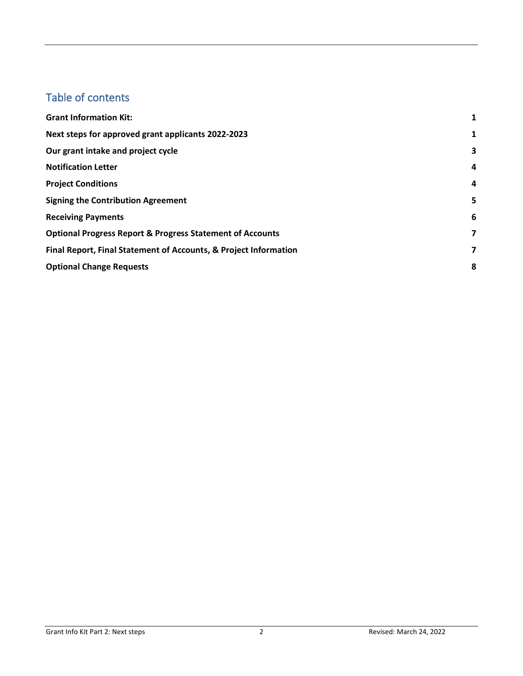#### Table of contents

| <b>Grant Information Kit:</b>                                        | 1 |
|----------------------------------------------------------------------|---|
| Next steps for approved grant applicants 2022-2023                   | 1 |
| Our grant intake and project cycle                                   | 3 |
| <b>Notification Letter</b>                                           | 4 |
| <b>Project Conditions</b>                                            | 4 |
| <b>Signing the Contribution Agreement</b>                            | 5 |
| <b>Receiving Payments</b>                                            | 6 |
| <b>Optional Progress Report &amp; Progress Statement of Accounts</b> | 7 |
| Final Report, Final Statement of Accounts, & Project Information     | 7 |
| <b>Optional Change Requests</b>                                      | 8 |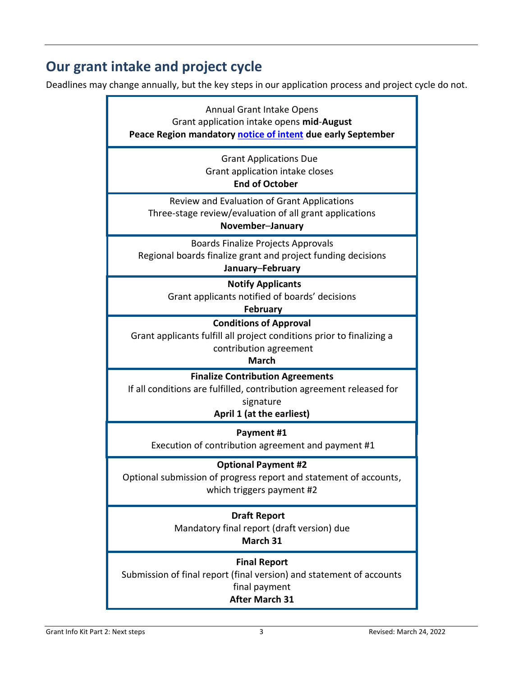## <span id="page-2-0"></span>**Our grant intake and project cycle**

Deadlines may change annually, but the key steps in our application process and project cycle do not.

| <b>Annual Grant Intake Opens</b><br>Grant application intake opens mid-August<br>Peace Region mandatory notice of intent due early September              |  |  |
|-----------------------------------------------------------------------------------------------------------------------------------------------------------|--|--|
| <b>Grant Applications Due</b><br>Grant application intake closes<br><b>End of October</b>                                                                 |  |  |
| Review and Evaluation of Grant Applications<br>Three-stage review/evaluation of all grant applications<br>November-January                                |  |  |
| <b>Boards Finalize Projects Approvals</b><br>Regional boards finalize grant and project funding decisions<br>January-February                             |  |  |
| <b>Notify Applicants</b><br>Grant applicants notified of boards' decisions<br><b>February</b>                                                             |  |  |
| <b>Conditions of Approval</b><br>Grant applicants fulfill all project conditions prior to finalizing a<br>contribution agreement<br><b>March</b>          |  |  |
| <b>Finalize Contribution Agreements</b><br>If all conditions are fulfilled, contribution agreement released for<br>signature<br>April 1 (at the earliest) |  |  |
| Payment #1<br>Execution of contribution agreement and payment #1                                                                                          |  |  |
| <b>Optional Payment #2</b><br>Optional submission of progress report and statement of accounts,<br>which triggers payment #2                              |  |  |
| <b>Draft Report</b><br>Mandatory final report (draft version) due<br>March 31                                                                             |  |  |
| <b>Final Report</b><br>Submission of final report (final version) and statement of accounts<br>final payment<br><b>After March 31</b>                     |  |  |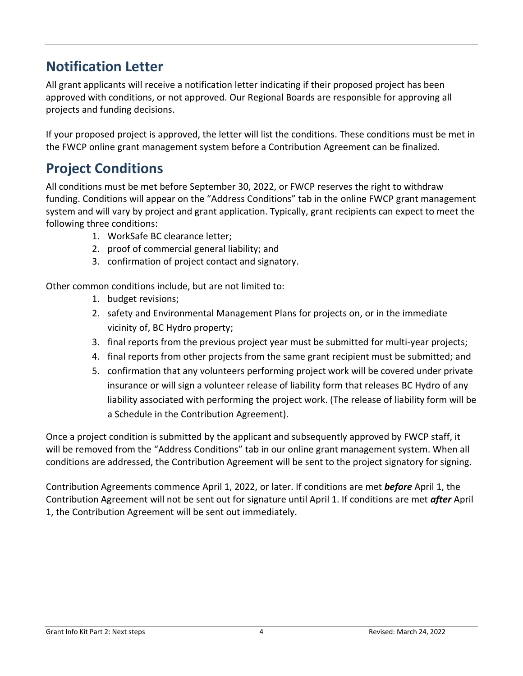## <span id="page-3-0"></span>**Notification Letter**

All grant applicants will receive a notification letter indicating if their proposed project has been approved with conditions, or not approved. Our Regional Boards are responsible for approving all projects and funding decisions.

If your proposed project is approved, the letter will list the conditions. These conditions must be met in the FWCP online grant management system before a Contribution Agreement can be finalized.

## <span id="page-3-1"></span>**Project Conditions**

All conditions must be met before September 30, 2022, or FWCP reserves the right to withdraw funding. Conditions will appear on the "Address Conditions" tab in the online FWCP grant management system and will vary by project and grant application. Typically, grant recipients can expect to meet the following three conditions:

- 1. WorkSafe BC clearance letter;
- 2. proof of commercial general liability; and
- 3. confirmation of project contact and signatory.

Other common conditions include, but are not limited to:

- 1. budget revisions;
- 2. safety and Environmental Management Plans for projects on, or in the immediate vicinity of, BC Hydro property;
- 3. final reports from the previous project year must be submitted for multi-year projects;
- 4. final reports from other projects from the same grant recipient must be submitted; and
- 5. confirmation that any volunteers performing project work will be covered under private insurance or will sign a volunteer release of liability form that releases BC Hydro of any liability associated with performing the project work. (The release of liability form will be a Schedule in the Contribution Agreement).

Once a project condition is submitted by the applicant and subsequently approved by FWCP staff, it will be removed from the "Address Conditions" tab in our online grant management system. When all conditions are addressed, the Contribution Agreement will be sent to the project signatory for signing.

Contribution Agreements commence April 1, 2022, or later. If conditions are met *before* April 1, the Contribution Agreement will not be sent out for signature until April 1. If conditions are met *after* April 1, the Contribution Agreement will be sent out immediately.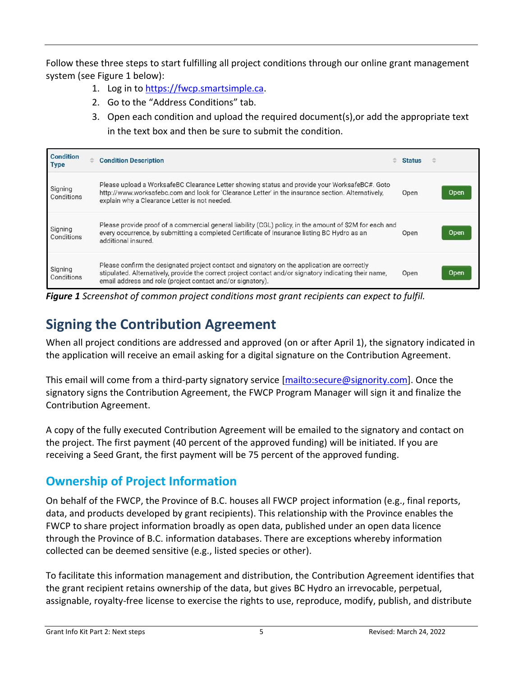Follow these three steps to start fulfilling all project conditions through our online grant management system (see Figure 1 below):

- 1. Log in to [https://fwcp.smartsimple.ca.](https://fwcp.smartsimple.ca/)
- 2. Go to the "Address Conditions" tab.
- 3. Open each condition and upload the required document(s),or add the appropriate text in the text box and then be sure to submit the condition.

| <b>Condition</b><br><b>Type</b> | <b>Condition Description</b>                                                                                                                                                                                                                                         | <b>Status</b> |      |
|---------------------------------|----------------------------------------------------------------------------------------------------------------------------------------------------------------------------------------------------------------------------------------------------------------------|---------------|------|
| Signing<br>Conditions           | Please upload a WorksafeBC Clearance Letter showing status and provide your WorksafeBC#. Goto<br>http://www.worksafebc.com and look for 'Clearance Letter' in the insurance section. Alternatively,<br>explain why a Clearance Letter is not needed.                 | Open          | Open |
| Signing<br>Conditions           | Please provide proof of a commercial general liability (CGL) policy, in the amount of \$2M for each and<br>every occurrence, by submitting a completed Certificate of Insurance listing BC Hydro as an<br>additional insured.                                        | Open          | Open |
| Signing<br><b>Conditions</b>    | Please confirm the designated project contact and signatory on the application are correctly<br>stipulated. Alternatively, provide the correct project contact and/or signatory indicating their name,<br>email address and role (project contact and/or signatory). | Open          | Open |

*Figure 1 Screenshot of common project conditions most grant recipients can expect to fulfil.* 

## <span id="page-4-0"></span>**Signing the Contribution Agreement**

When all project conditions are addressed and approved (on or after April 1), the signatory indicated in the application will receive an email asking for a digital signature on the Contribution Agreement.

This email will come from a third-party signatory service [\[mailto:secure@signority.com\]](mailto:secure@signority.com). Once the signatory signs the Contribution Agreement, the FWCP Program Manager will sign it and finalize the Contribution Agreement.

A copy of the fully executed Contribution Agreement will be emailed to the signatory and contact on the project. The first payment (40 percent of the approved funding) will be initiated. If you are receiving a Seed Grant, the first payment will be 75 percent of the approved funding.

#### **Ownership of Project Information**

On behalf of the FWCP, the Province of B.C. houses all FWCP project information (e.g., final reports, data, and products developed by grant recipients). This relationship with the Province enables the FWCP to share project information broadly as open data, published under an open data licence through the Province of B.C. information databases. There are exceptions whereby information collected can be deemed sensitive (e.g., listed species or other).

To facilitate this information management and distribution, the Contribution Agreement identifies that the grant recipient retains ownership of the data, but gives BC Hydro an irrevocable, perpetual, assignable, royalty-free license to exercise the rights to use, reproduce, modify, publish, and distribute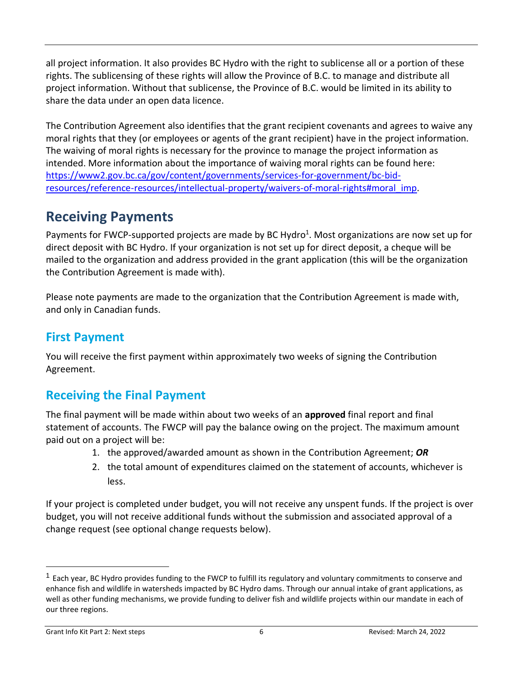all project information. It also provides BC Hydro with the right to sublicense all or a portion of these rights. The sublicensing of these rights will allow the Province of B.C. to manage and distribute all project information. Without that sublicense, the Province of B.C. would be limited in its ability to share the data under an open data licence.

The Contribution Agreement also identifies that the grant recipient covenants and agrees to waive any moral rights that they (or employees or agents of the grant recipient) have in the project information. The waiving of moral rights is necessary for the province to manage the project information as intended. More information about the importance of waiving moral rights can be found here: [https://www2.gov.bc.ca/gov/content/governments/services-for-government/bc-bid](https://www2.gov.bc.ca/gov/content/governments/services-for-government/bc-bid-resources/reference-resources/intellectual-property/waivers-of-moral-rights#moral_imp)[resources/reference-resources/intellectual-property/waivers-of-moral-rights#moral\\_imp.](https://www2.gov.bc.ca/gov/content/governments/services-for-government/bc-bid-resources/reference-resources/intellectual-property/waivers-of-moral-rights#moral_imp)

#### <span id="page-5-0"></span>**Receiving Payments**

Payments for FWCP-supported projects are made by BC Hydro<sup>1</sup>. Most organizations are now set up for direct deposit with BC Hydro. If your organization is not set up for direct deposit, a cheque will be mailed to the organization and address provided in the grant application (this will be the organization the Contribution Agreement is made with).

Please note payments are made to the organization that the Contribution Agreement is made with, and only in Canadian funds.

#### **First Payment**

You will receive the first payment within approximately two weeks of signing the Contribution Agreement.

## **Receiving the Final Payment**

The final payment will be made within about two weeks of an **approved** final report and final statement of accounts. The FWCP will pay the balance owing on the project. The maximum amount paid out on a project will be:

- 1. the approved/awarded amount as shown in the Contribution Agreement; *OR*
- 2. the total amount of expenditures claimed on the statement of accounts, whichever is less.

If your project is completed under budget, you will not receive any unspent funds. If the project is over budget, you will not receive additional funds without the submission and associated approval of a change request (see optional change requests below).

<sup>&</sup>lt;sup>1</sup> Each year, BC Hydro provides funding to the FWCP to fulfill its regulatory and voluntary commitments to conserve and enhance fish and wildlife in watersheds impacted by BC Hydro dams. Through our annual intake of grant applications, as well as other funding mechanisms, we provide funding to deliver fish and wildlife projects within our mandate in each of our three regions.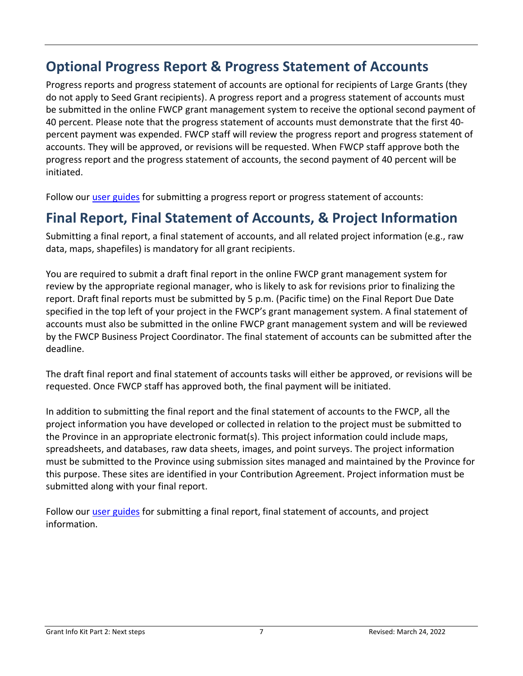## <span id="page-6-0"></span>**Optional Progress Report & Progress Statement of Accounts**

Progress reports and progress statement of accounts are optional for recipients of Large Grants (they do not apply to Seed Grant recipients). A progress report and a progress statement of accounts must be submitted in the online FWCP grant management system to receive the optional second payment of 40 percent. Please note that the progress statement of accounts must demonstrate that the first 40 percent payment was expended. FWCP staff will review the progress report and progress statement of accounts. They will be approved, or revisions will be requested. When FWCP staff approve both the progress report and the progress statement of accounts, the second payment of 40 percent will be initiated.

Follow our [user guides](http://fwcp.ca/user-guides-grant-recipients/) for submitting a progress report or progress statement of accounts:

#### <span id="page-6-1"></span>**Final Report, Final Statement of Accounts, & Project Information**

Submitting a final report, a final statement of accounts, and all related project information (e.g., raw data, maps, shapefiles) is mandatory for all grant recipients.

You are required to submit a draft final report in the online FWCP grant management system for review by the appropriate regional manager, who is likely to ask for revisions prior to finalizing the report. Draft final reports must be submitted by 5 p.m. (Pacific time) on the Final Report Due Date specified in the top left of your project in the FWCP's grant management system. A final statement of accounts must also be submitted in the online FWCP grant management system and will be reviewed by the FWCP Business Project Coordinator. The final statement of accounts can be submitted after the deadline.

The draft final report and final statement of accounts tasks will either be approved, or revisions will be requested. Once FWCP staff has approved both, the final payment will be initiated.

In addition to submitting the final report and the final statement of accounts to the FWCP, all the project information you have developed or collected in relation to the project must be submitted to the Province in an appropriate electronic format(s). This project information could include maps, spreadsheets, and databases, raw data sheets, images, and point surveys. The project information must be submitted to the Province using submission sites managed and maintained by the Province for this purpose. These sites are identified in your Contribution Agreement. Project information must be submitted along with your final report.

Follow our [user guides](http://fwcp.ca/user-guides-grant-recipients/) for submitting a final report, final statement of accounts, and project information.